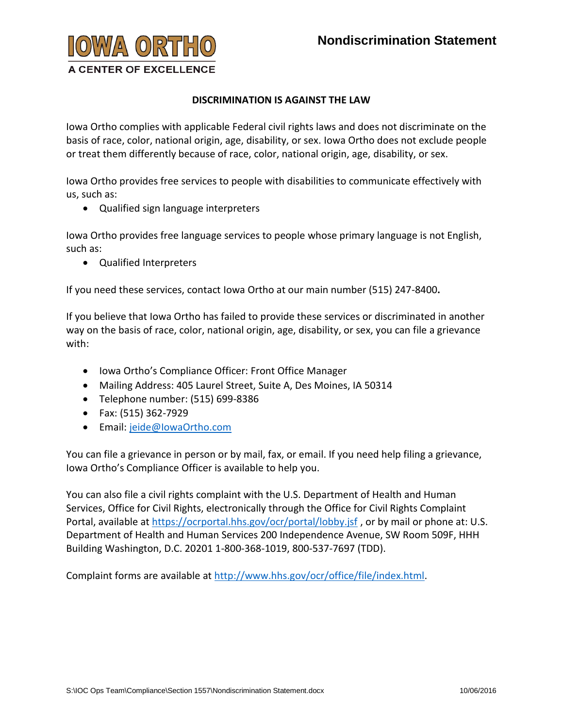

## **DISCRIMINATION IS AGAINST THE LAW**

Iowa Ortho complies with applicable Federal civil rights laws and does not discriminate on the basis of race, color, national origin, age, disability, or sex. Iowa Ortho does not exclude people or treat them differently because of race, color, national origin, age, disability, or sex.

Iowa Ortho provides free services to people with disabilities to communicate effectively with us, such as:

Qualified sign language interpreters

Iowa Ortho provides free language services to people whose primary language is not English, such as:

Qualified Interpreters

If you need these services, contact Iowa Ortho at our main number (515) 247-8400**.**

If you believe that Iowa Ortho has failed to provide these services or discriminated in another way on the basis of race, color, national origin, age, disability, or sex, you can file a grievance with:

- Iowa Ortho's Compliance Officer: Front Office Manager
- Mailing Address: 405 Laurel Street, Suite A, Des Moines, IA 50314
- Telephone number: (515) 699-8386
- Fax: (515) 362-7929
- Email: jeide@lowaOrtho.com

You can file a grievance in person or by mail, fax, or email. If you need help filing a grievance, Iowa Ortho's Compliance Officer is available to help you.

You can also file a civil rights complaint with the U.S. Department of Health and Human Services, Office for Civil Rights, electronically through the Office for Civil Rights Complaint Portal, available at<https://ocrportal.hhs.gov/ocr/portal/lobby.jsf> , or by mail or phone at: U.S. Department of Health and Human Services 200 Independence Avenue, SW Room 509F, HHH Building Washington, D.C. 20201 1-800-368-1019, 800-537-7697 (TDD).

Complaint forms are available at [http://www.hhs.gov/ocr/office/file/index.html.](http://www.hhs.gov/ocr/office/file/index.html)